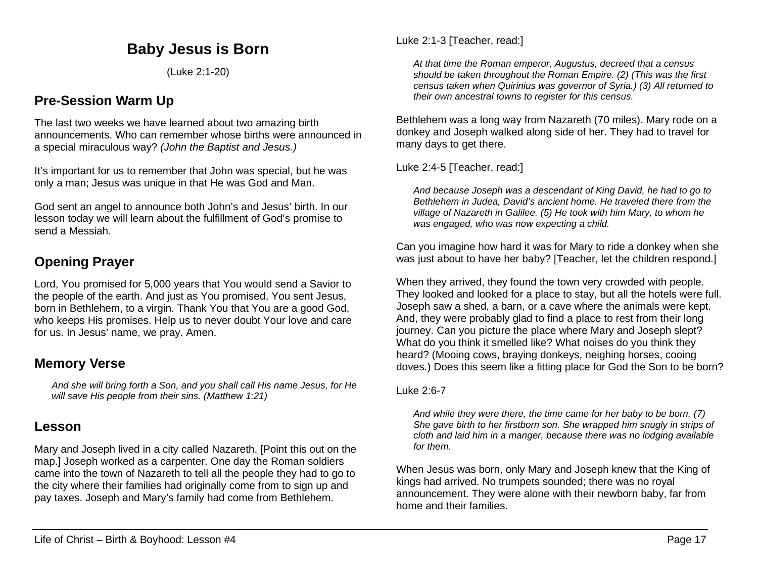# **Baby Jesus is Born**

(Luke 2:1-20)

# **Pre-Session Warm Up**

The last two weeks we have learned about two amazing birth announcements. Who can remember whose births were announced in a special miraculous way? *(John the Baptist and Jesus.)*

It's important for us to remember that John was special, but he was only a man; Jesus was unique in that He was God and Man.

God sent an angel to announce both John's and Jesus' birth. In our lesson today we will learn about the fulfillment of God's promise to send a Messiah.

# **Opening Prayer**

Lord, You promised for 5,000 years that You would send a Savior to the people of the earth. And just as You promised, You sent Jesus, born in Bethlehem, to a virgin. Thank You that You are a good God, who keeps His promises. Help us to never doubt Your love and care for us. In Jesus' name, we pray. Amen.

## **Memory Verse**

*And she will bring forth a Son, and you shall call His name Jesus, for He will save His people from their sins. (Matthew 1:21)*

# **Lesson**

Mary and Joseph lived in a city called Nazareth. [Point this out on the map.] Joseph worked as a carpenter. One day the Roman soldiers came into the town of Nazareth to tell all the people they had to go to the city where their families had originally come from to sign up and pay taxes. Joseph and Mary's family had come from Bethlehem.

*At that time the Roman emperor, Augustus, decreed that a census should be taken throughout the Roman Empire. (2) (This was the first census taken when Quirinius was governor of Syria.) (3) All returned to their own ancestral towns to register for this census.*

Bethlehem was a long way from Nazareth (70 miles). Mary rode on a donkey and Joseph walked along side of her. They had to travel for many days to get there.

Luke 2:4-5 [Teacher, read:]

*And because Joseph was a descendant of King David, he had to go to Bethlehem in Judea, David's ancient home. He traveled there from the village of Nazareth in Galilee. (5) He took with him Mary, to whom he was engaged, who was now expecting a child.*

Can you imagine how hard it was for Mary to ride a donkey when she was just about to have her baby? [Teacher, let the children respond.]

When they arrived, they found the town very crowded with people. They looked and looked for a place to stay, but all the hotels were full. Joseph saw a shed, a barn, or a cave where the animals were kept. And, they were probably glad to find a place to rest from their long journey. Can you picture the place where Mary and Joseph slept? What do you think it smelled like? What noises do you think they heard? (Mooing cows, braying donkeys, neighing horses, cooing doves.) Does this seem like a fitting place for God the Son to be born?

#### Luke 2:6-7

*And while they were there, the time came for her baby to be born. (7) She gave birth to her firstborn son. She wrapped him snugly in strips of cloth and laid him in a manger, because there was no lodging available for them.*

When Jesus was born, only Mary and Joseph knew that the King of kings had arrived. No trumpets sounded; there was no royal announcement. They were alone with their newborn baby, far from home and their families.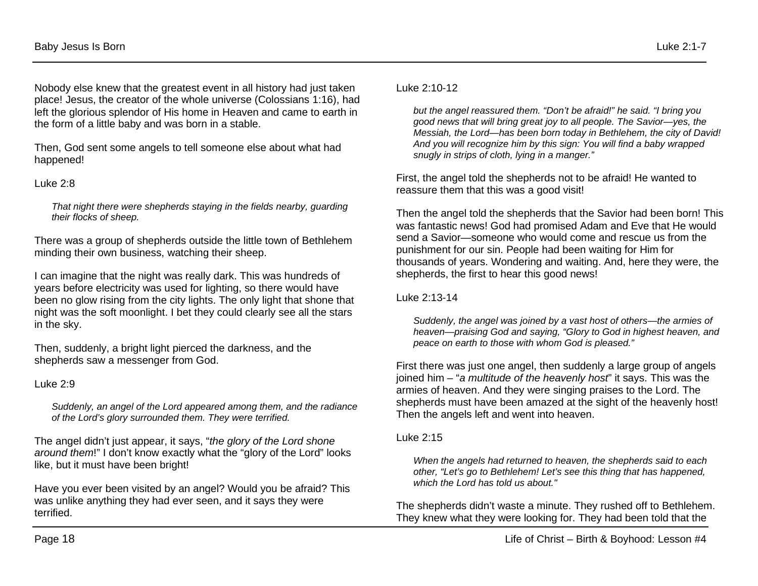Nobody else knew that the greatest event in all history had just taken place! Jesus, the creator of the whole universe (Colossians 1:16), had left the glorious splendor of His home in Heaven and came to earth in the form of a little baby and was born in a stable.

Then, God sent some angels to tell someone else about what had happened!

#### Luke 2:8

*That night there were shepherds staying in the fields nearby, guarding their flocks of sheep.* 

There was a group of shepherds outside the little town of Bethlehem minding their own business, watching their sheep.

I can imagine that the night was really dark. This was hundreds of years before electricity was used for lighting, so there would have been no glow rising from the city lights. The only light that shone that night was the soft moonlight. I bet they could clearly see all the stars in the sky.

Then, suddenly, a bright light pierced the darkness, and the shepherds saw a messenger from God.

#### Luke 2:9

*Suddenly, an angel of the Lord appeared among them, and the radiance of the Lord's glory surrounded them. They were terrified.* 

The angel didn't just appear, it says, "*the glory of the Lord shone around them*!" I don't know exactly what the "glory of the Lord" looks like, but it must have been bright!

Have you ever been visited by an angel? Would you be afraid? This was unlike anything they had ever seen, and it says they were terrified.

#### Luke 2:10-12

*but the angel reassured them. "Don't be afraid!" he said. "I bring you good news that will bring great joy to all people. The Savior—yes, the Messiah, the Lord—has been born today in Bethlehem, the city of David! And you will recognize him by this sign: You will find a baby wrapped snugly in strips of cloth, lying in a manger."*

First, the angel told the shepherds not to be afraid! He wanted to reassure them that this was a good visit!

Then the angel told the shepherds that the Savior had been born! This was fantastic news! God had promised Adam and Eve that He would send a Savior—someone who would come and rescue us from the punishment for our sin. People had been waiting for Him for thousands of years. Wondering and waiting. And, here they were, the shepherds, the first to hear this good news!

Luke 2:13-14

*Suddenly, the angel was joined by a vast host of others—the armies of heaven—praising God and saying, "Glory to God in highest heaven, and peace on earth to those with whom God is pleased."* 

First there was just one angel, then suddenly a large group of angels joined him – "*a multitude of the heavenly host*" it says. This was the armies of heaven. And they were singing praises to the Lord. The shepherds must have been amazed at the sight of the heavenly host! Then the angels left and went into heaven.

#### Luke 2:15

*When the angels had returned to heaven, the shepherds said to each other, "Let's go to Bethlehem! Let's see this thing that has happened, which the Lord has told us about."* 

The shepherds didn't waste a minute. They rushed off to Bethlehem. They knew what they were looking for. They had been told that the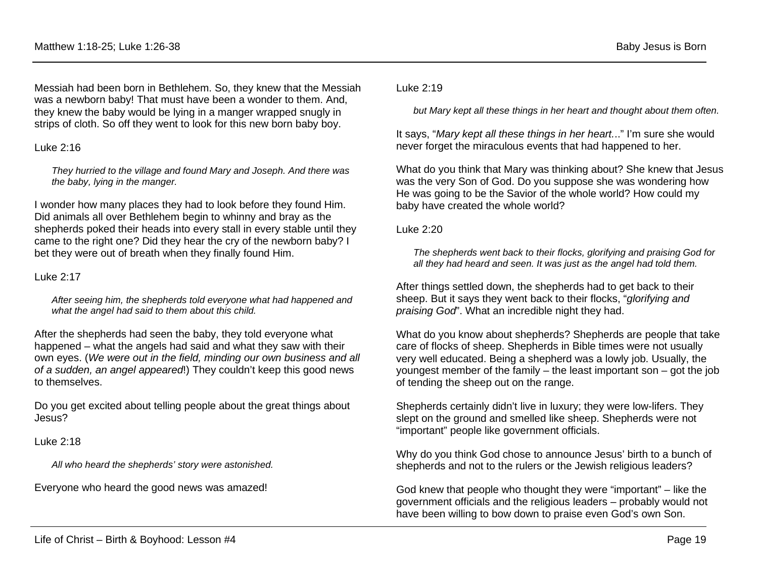Messiah had been born in Bethlehem. So, they knew that the Messiah was a newborn baby! That must have been a wonder to them. And, they knew the baby would be lying in a manger wrapped snugly in strips of cloth. So off they went to look for this new born baby boy.

#### Luke 2:16

*They hurried to the village and found Mary and Joseph. And there was the baby, lying in the manger.* 

I wonder how many places they had to look before they found Him. Did animals all over Bethlehem begin to whinny and bray as the shepherds poked their heads into every stall in every stable until they came to the right one? Did they hear the cry of the newborn baby? I bet they were out of breath when they finally found Him.

#### Luke 2:17

*After seeing him, the shepherds told everyone what had happened and what the angel had said to them about this child.* 

After the shepherds had seen the baby, they told everyone what happened – what the angels had said and what they saw with their own eyes. (*We were out in the field, minding our own business and all of a sudden, an angel appeared*!) They couldn't keep this good news to themselves.

Do you get excited about telling people about the great things about Jesus?

Luke 2:18

*All who heard the shepherds' story were astonished.* 

Everyone who heard the good news was amazed!

#### Luke 2:19

*but Mary kept all these things in her heart and thought about them often.* 

It says, "*Mary kept all these things in her heart.*.." I'm sure she would never forget the miraculous events that had happened to her.

What do you think that Mary was thinking about? She knew that Jesus was the very Son of God. Do you suppose she was wondering how He was going to be the Savior of the whole world? How could my baby have created the whole world?

#### Luke 2:20

*The shepherds went back to their flocks, glorifying and praising God for all they had heard and seen. It was just as the angel had told them.* 

After things settled down, the shepherds had to get back to their sheep. But it says they went back to their flocks, "*glorifying and praising God*". What an incredible night they had.

What do you know about shepherds? Shepherds are people that take care of flocks of sheep. Shepherds in Bible times were not usually very well educated. Being a shepherd was a lowly job. Usually, the youngest member of the family – the least important son – got the job of tending the sheep out on the range.

Shepherds certainly didn't live in luxury; they were low-lifers. They slept on the ground and smelled like sheep. Shepherds were not "important" people like government officials.

Why do you think God chose to announce Jesus' birth to a bunch of shepherds and not to the rulers or the Jewish religious leaders?

God knew that people who thought they were "important" – like the government officials and the religious leaders – probably would not have been willing to bow down to praise even God's own Son.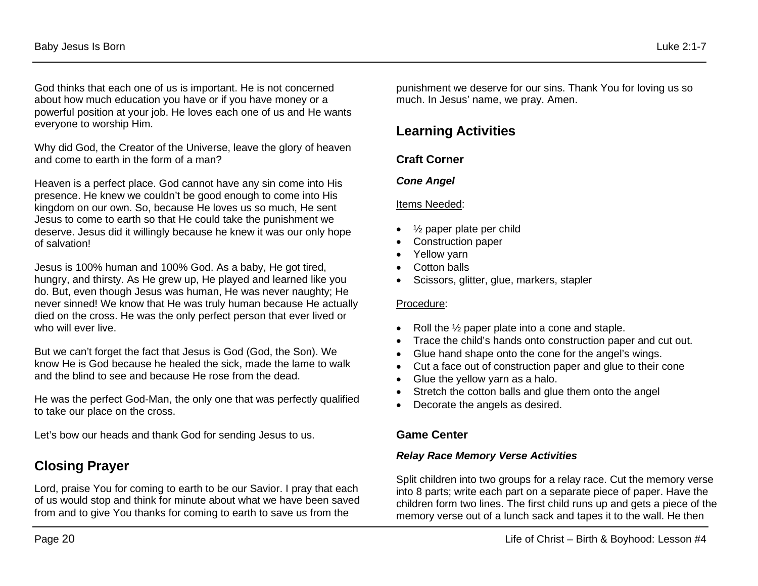God thinks that each one of us is important. He is not concerned about how much education you have or if you have money or a powerful position at your job. He loves each one of us and He wants everyone to worship Him.

Why did God, the Creator of the Universe, leave the glory of heaven and come to earth in the form of a man?

Heaven is a perfect place. God cannot have any sin come into His presence. He knew we couldn't be good enough to come into His kingdom on our own. So, because He loves us so much, He sent Jesus to come to earth so that He could take the punishment we deserve. Jesus did it willingly because he knew it was our only hope of salvation!

Jesus is 100% human and 100% God. As a baby, He got tired, hungry, and thirsty. As He grew up, He played and learned like you do. But, even though Jesus was human, He was never naughty; He never sinned! We know that He was truly human because He actually died on the cross. He was the only perfect person that ever lived or who will ever live.

But we can't forget the fact that Jesus is God (God, the Son). We know He is God because he healed the sick, made the lame to walk and the blind to see and because He rose from the dead.

He was the perfect God-Man, the only one that was perfectly qualified to take our place on the cross.

Let's bow our heads and thank God for sending Jesus to us.

# **Closing Prayer**

Lord, praise You for coming to earth to be our Savior. I pray that each of us would stop and think for minute about what we have been saved from and to give You thanks for coming to earth to save us from the

punishment we deserve for our sins. Thank You for loving us so much. In Jesus' name, we pray. Amen.

# **Learning Activities**

## **Craft Corner**

## *Cone Angel*

#### Items Needed:

- $\frac{1}{2}$  paper plate per child
- Construction paper
- Yellow yarn
- Cotton balls
- Scissors, glitter, glue, markers, stapler

#### Procedure:

- Roll the 1/2 paper plate into a cone and staple.
- Trace the child's hands onto construction paper and cut out.
- Glue hand shape onto the cone for the angel's wings.
- Cut a face out of construction paper and glue to their cone
- Glue the yellow yarn as a halo.
- Stretch the cotton balls and glue them onto the angel
- Decorate the angels as desired.

## **Game Center**

### *Relay Race Memory Verse Activities*

Split children into two groups for a relay race. Cut the memory verse into 8 parts; write each part on a separate piece of paper. Have the children form two lines. The first child runs up and gets a piece of the memory verse out of a lunch sack and tapes it to the wall. He then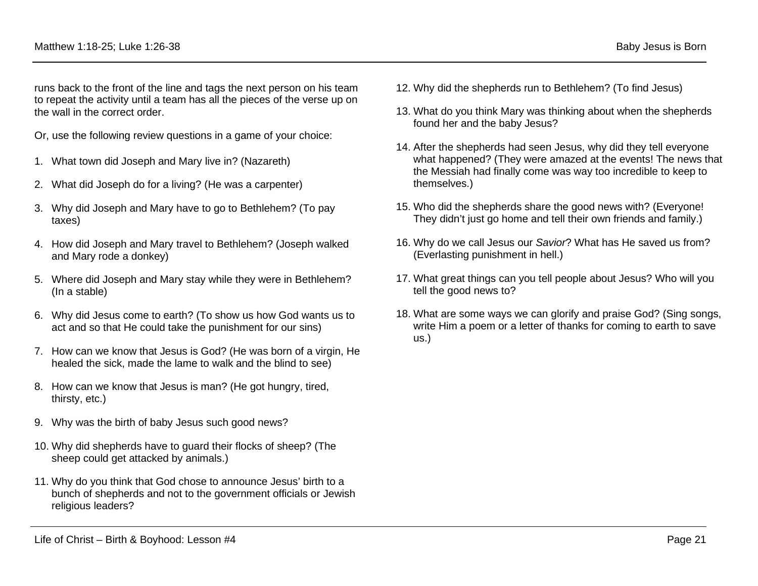runs back to the front of the line and tags the next person on his team to repeat the activity until a team has all the pieces of the verse up on the wall in the correct order.

Or, use the following review questions in a game of your choice:

- 1. What town did Joseph and Mary live in? (Nazareth)
- 2. What did Joseph do for a living? (He was a carpenter)
- 3. Why did Joseph and Mary have to go to Bethlehem? (To pay taxes)
- 4. How did Joseph and Mary travel to Bethlehem? (Joseph walked and Mary rode a donkey)
- 5. Where did Joseph and Mary stay while they were in Bethlehem? (In a stable)
- 6. Why did Jesus come to earth? (To show us how God wants us to act and so that He could take the punishment for our sins)
- 7. How can we know that Jesus is God? (He was born of a virgin, He healed the sick, made the lame to walk and the blind to see)
- 8. How can we know that Jesus is man? (He got hungry, tired, thirsty, etc.)
- 9. Why was the birth of baby Jesus such good news?
- 10. Why did shepherds have to guard their flocks of sheep? (The sheep could get attacked by animals.)
- 11. Why do you think that God chose to announce Jesus' birth to a bunch of shepherds and not to the government officials or Jewish religious leaders?
- 12. Why did the shepherds run to Bethlehem? (To find Jesus)
- 13. What do you think Mary was thinking about when the shepherds found her and the baby Jesus?
- 14. After the shepherds had seen Jesus, why did they tell everyone what happened? (They were amazed at the events! The news that the Messiah had finally come was way too incredible to keep to themselves.)
- 15. Who did the shepherds share the good news with? (Everyone! They didn't just go home and tell their own friends and family.)
- 16. Why do we call Jesus our *Savior*? What has He saved us from? (Everlasting punishment in hell.)
- 17. What great things can you tell people about Jesus? Who will you tell the good news to?
- 18. What are some ways we can glorify and praise God? (Sing songs, write Him a poem or a letter of thanks for coming to earth to save us.)